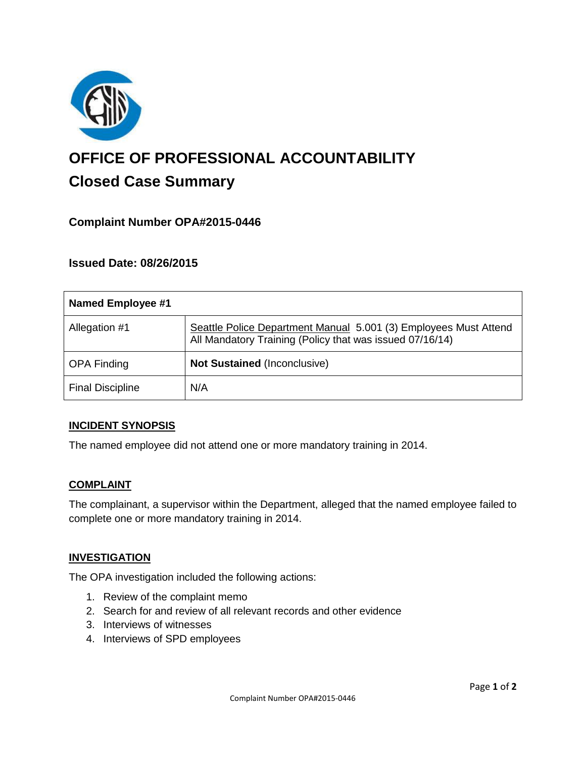

# **OFFICE OF PROFESSIONAL ACCOUNTABILITY Closed Case Summary**

## **Complaint Number OPA#2015-0446**

## **Issued Date: 08/26/2015**

| <b>Named Employee #1</b> |                                                                                                                              |
|--------------------------|------------------------------------------------------------------------------------------------------------------------------|
| Allegation #1            | Seattle Police Department Manual 5.001 (3) Employees Must Attend<br>All Mandatory Training (Policy that was issued 07/16/14) |
| <b>OPA Finding</b>       | <b>Not Sustained (Inconclusive)</b>                                                                                          |
| <b>Final Discipline</b>  | N/A                                                                                                                          |

#### **INCIDENT SYNOPSIS**

The named employee did not attend one or more mandatory training in 2014.

#### **COMPLAINT**

The complainant, a supervisor within the Department, alleged that the named employee failed to complete one or more mandatory training in 2014.

#### **INVESTIGATION**

The OPA investigation included the following actions:

- 1. Review of the complaint memo
- 2. Search for and review of all relevant records and other evidence
- 3. Interviews of witnesses
- 4. Interviews of SPD employees